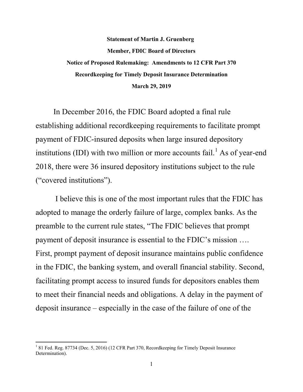## **Statement of Martin J. Gruenberg Member, FDIC Board of Directors Notice of Proposed Rulemaking: Amendments to 12 CFR Part 370 Recordkeeping for Timely Deposit Insurance Determination March 29, 2019**

In December 2016, the FDIC Board adopted a final rule establishing additional recordkeeping requirements to facilitate prompt payment of FDIC-insured deposits when large insured depository institutions (IDI) with two million or more accounts fail.<sup>[1](#page-0-0)</sup> As of year-end 2018, there were 36 insured depository institutions subject to the rule ("covered institutions").

I believe this is one of the most important rules that the FDIC has adopted to manage the orderly failure of large, complex banks. As the preamble to the current rule states, "The FDIC believes that prompt payment of deposit insurance is essential to the FDIC's mission …. First, prompt payment of deposit insurance maintains public confidence in the FDIC, the banking system, and overall financial stability. Second, facilitating prompt access to insured funds for depositors enables them to meet their financial needs and obligations. A delay in the payment of deposit insurance – especially in the case of the failure of one of the

<span id="page-0-0"></span><sup>&</sup>lt;sup>1</sup> 81 Fed. Reg. 87734 (Dec. 5, 2016) (12 CFR Part 370, Recordkeeping for Timely Deposit Insurance Determination).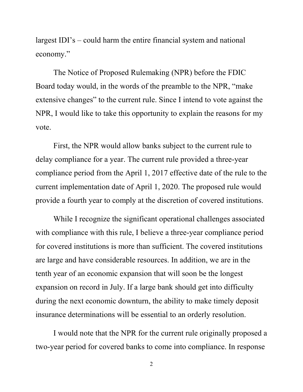largest IDI's – could harm the entire financial system and national economy."

The Notice of Proposed Rulemaking (NPR) before the FDIC Board today would, in the words of the preamble to the NPR, "make extensive changes" to the current rule. Since I intend to vote against the NPR, I would like to take this opportunity to explain the reasons for my vote.

First, the NPR would allow banks subject to the current rule to delay compliance for a year. The current rule provided a three-year compliance period from the April 1, 2017 effective date of the rule to the current implementation date of April 1, 2020. The proposed rule would provide a fourth year to comply at the discretion of covered institutions.

While I recognize the significant operational challenges associated with compliance with this rule, I believe a three-year compliance period for covered institutions is more than sufficient. The covered institutions are large and have considerable resources. In addition, we are in the tenth year of an economic expansion that will soon be the longest expansion on record in July. If a large bank should get into difficulty during the next economic downturn, the ability to make timely deposit insurance determinations will be essential to an orderly resolution.

I would note that the NPR for the current rule originally proposed a two-year period for covered banks to come into compliance. In response

2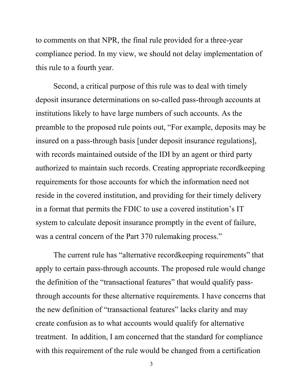to comments on that NPR, the final rule provided for a three-year compliance period. In my view, we should not delay implementation of this rule to a fourth year.

Second, a critical purpose of this rule was to deal with timely deposit insurance determinations on so-called pass-through accounts at institutions likely to have large numbers of such accounts. As the preamble to the proposed rule points out, "For example, deposits may be insured on a pass-through basis [under deposit insurance regulations], with records maintained outside of the IDI by an agent or third party authorized to maintain such records. Creating appropriate recordkeeping requirements for those accounts for which the information need not reside in the covered institution, and providing for their timely delivery in a format that permits the FDIC to use a covered institution's IT system to calculate deposit insurance promptly in the event of failure, was a central concern of the Part 370 rulemaking process."

The current rule has "alternative recordkeeping requirements" that apply to certain pass-through accounts. The proposed rule would change the definition of the "transactional features" that would qualify passthrough accounts for these alternative requirements. I have concerns that the new definition of "transactional features" lacks clarity and may create confusion as to what accounts would qualify for alternative treatment. In addition, I am concerned that the standard for compliance with this requirement of the rule would be changed from a certification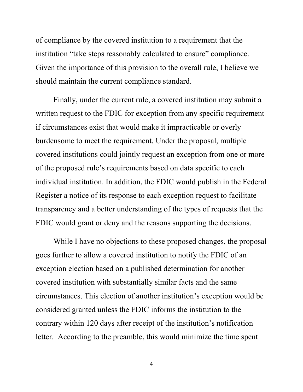of compliance by the covered institution to a requirement that the institution "take steps reasonably calculated to ensure" compliance. Given the importance of this provision to the overall rule, I believe we should maintain the current compliance standard.

Finally, under the current rule, a covered institution may submit a written request to the FDIC for exception from any specific requirement if circumstances exist that would make it impracticable or overly burdensome to meet the requirement. Under the proposal, multiple covered institutions could jointly request an exception from one or more of the proposed rule's requirements based on data specific to each individual institution. In addition, the FDIC would publish in the Federal Register a notice of its response to each exception request to facilitate transparency and a better understanding of the types of requests that the FDIC would grant or deny and the reasons supporting the decisions.

While I have no objections to these proposed changes, the proposal goes further to allow a covered institution to notify the FDIC of an exception election based on a published determination for another covered institution with substantially similar facts and the same circumstances. This election of another institution's exception would be considered granted unless the FDIC informs the institution to the contrary within 120 days after receipt of the institution's notification letter. According to the preamble, this would minimize the time spent

4